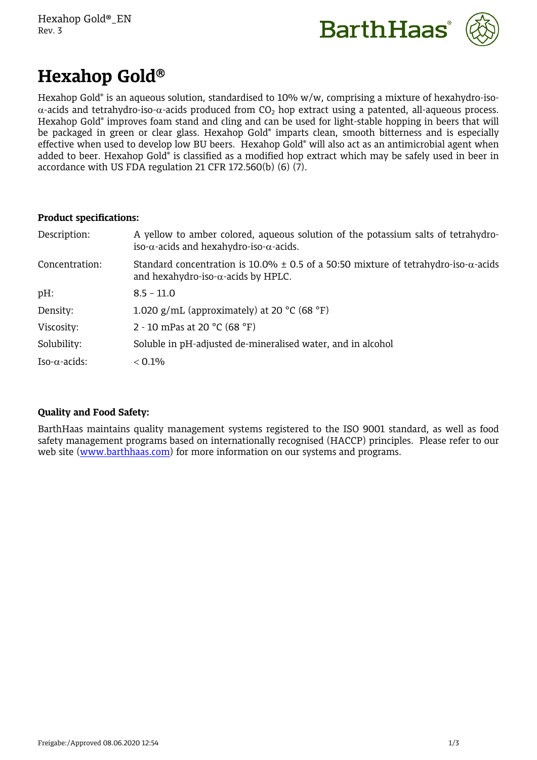



# **Hexahop Gold**

Hexahop Gold® is an aqueous solution, standardised to 10% w/w, comprising a mixture of hexahydro-iso-  $\alpha$ -acids and tetrahydro-iso- $\alpha$ -acids produced from CO<sub>2</sub> hop extract using a patented, all-aqueous process. Hexahop Gold® improves foam stand and cling and can be used for light-stable hopping in beers that will be packaged in green or clear glass. Hexahop Gold® imparts clean, smooth bitterness and is especially effective when used to develop low BU beers. Hexahop Gold® will also act as an antimicrobial agent when added to beer. Hexahop Gold® is classified as a modified hop extract which may be safely used in beer in accordance with US FDA regulation 21 CFR 172.560(b) (6) (7).

## **Product specifications:**

| Description:          | A yellow to amber colored, aqueous solution of the potassium salts of tetrahydro-<br>iso- $\alpha$ -acids and hexahydro-iso- $\alpha$ -acids.  |
|-----------------------|------------------------------------------------------------------------------------------------------------------------------------------------|
| Concentration:        | Standard concentration is 10.0% $\pm$ 0.5 of a 50:50 mixture of tetrahydro-iso- $\alpha$ -acids<br>and hexahydro-iso- $\alpha$ -acids by HPLC. |
| $pH$ :                | $8.5 - 11.0$                                                                                                                                   |
| Density:              | 1.020 g/mL (approximately) at 20 $^{\circ}$ C (68 $^{\circ}$ F)                                                                                |
| Viscosity:            | 2 - 10 mPas at 20 $^{\circ}$ C (68 $^{\circ}$ F)                                                                                               |
| Solubility:           | Soluble in pH-adjusted de-mineralised water, and in alcohol                                                                                    |
| Iso- $\alpha$ -acids: | $< 0.1\%$                                                                                                                                      |

# **Quality and Food Safety:**

BarthHaas maintains quality management systems registered to the ISO 9001 standard, as well as food safety management programs based on internationally recognised (HACCP) principles. Please refer to our web site ([www.barthhaas.com](http://www.barthhaas.com/)) for more information on our systems and programs.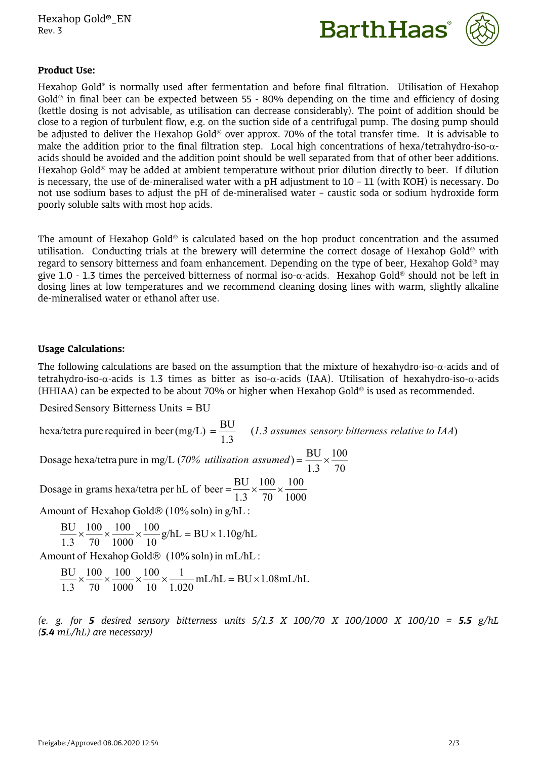Hexahop Gold®\_EN Rev. 3





## **Product Use:**

Hexahop Gold® is normally used after fermentation and before final filtration. Utilisation of Hexahop Gold<sup>®</sup> in final beer can be expected between 55 - 80% depending on the time and efficiency of dosing (kettle dosing is not advisable, as utilisation can decrease considerably). The point of addition should be close to a region of turbulent flow, e.g. on the suction side of a centrifugal pump. The dosing pump should be adjusted to deliver the Hexahop Gold<sup>®</sup> over approx. 70% of the total transfer time. It is advisable to make the addition prior to the final filtration step. Local high concentrations of hexa/tetrahydro-iso- $\alpha$ acids should be avoided and the addition point should be well separated from that of other beer additions. Hexahop Gold<sup>®</sup> may be added at ambient temperature without prior dilution directly to beer. If dilution is necessary, the use of de-mineralised water with a pH adjustment to 10 – 11 (with KOH) is necessary. Do not use sodium bases to adjust the pH of de-mineralised water – caustic soda or sodium hydroxide form poorly soluble salts with most hop acids.

The amount of Hexahop Gold<sup>®</sup> is calculated based on the hop product concentration and the assumed utilisation. Conducting trials at the brewery will determine the correct dosage of Hexahop Gold<sup>®</sup> with regard to sensory bitterness and foam enhancement. Depending on the type of beer, Hexahop Gold® may give 1.0 - 1.3 times the perceived bitterness of normal iso- $\alpha$ -acids. Hexahop Gold<sup>®</sup> should not be left in dosing lines at low temperatures and we recommend cleaning dosing lines with warm, slightly alkaline de-mineralised water or ethanol after use.

### **Usage Calculations:**

The following calculations are based on the assumption that the mixture of hexahydro-iso- $\alpha$ -acids and of tetrahydro-iso- $\alpha$ -acids is 1.3 times as bitter as iso- $\alpha$ -acids (IAA). Utilisation of hexahydro-iso- $\alpha$ -acids (HHIAA) can be expected to be about 70% or higher when Hexahop Gold<sup>®</sup> is used as recommended.

Desired Sensory Bitterness Units = BU

hexa/tetra pure required in beer (mg/L)  $=$   $\frac{BU}{1.3}$  (1.3 assumes sensory bitterness relative to IAA)

70 100 1.3 Dosage hexa/tetra pure in mg/L (70% *utilisation assumed*) =  $\frac{BU}{100} \times \frac{100}{100}$ 

1000 100 70 100 100 1.3 70 1000 Dosage in grams hexa/tetra per hL of beer  $=\frac{BU}{1.2} \times \frac{100}{20} \times \frac{100}{100}$ 

Amount of Hexahop Gold $\circledR$  (10% soln) in  $g/hL$  :

$$
\frac{BU}{1.3} \times \frac{100}{70} \times \frac{100}{1000} \times \frac{100}{10} g/hL = BU \times 1.10 g/hL
$$

Amount of Hexahop Gold $\odot$  (10% soln) in mL/hL :

 $mL/hL = BU \times 1.08mL/hL$  $1.020$  and  $20$  constants the set of  $\frac{1}{2}$  $1$   $\frac{1}{4}$   $\frac{1}{4}$   $\frac{1}{4}$   $\frac{1}{4}$   $\frac{1}{4}$  $10^{10.020}$   $1.020$  $100 \t 1 \t 100 \t 100 \t 11$  $1000 \t 10 \t 1.020 \t 1.020$ 100  $70\quad 1000\quad 10\quad 1.020$  $100 \t 100 \t 100 \t 1 \t 141 \t 111$  $1.3$  70 1000 10 1.020  $\frac{BU}{1.2} \times \frac{100}{7.2} \times \frac{100}{100} \times \frac{1}{1.2} \times \frac{1}{1.2} \times \frac{1}{1.2}$  mL/hL = BU × 1.08 mL/hL

*(e. g. for 5 desired sensory bitterness units 5/1.3 X 100/70 X 100/1000 X 100/10 = 5.5 g/hL (5.4 mL/hL) are necessary)*